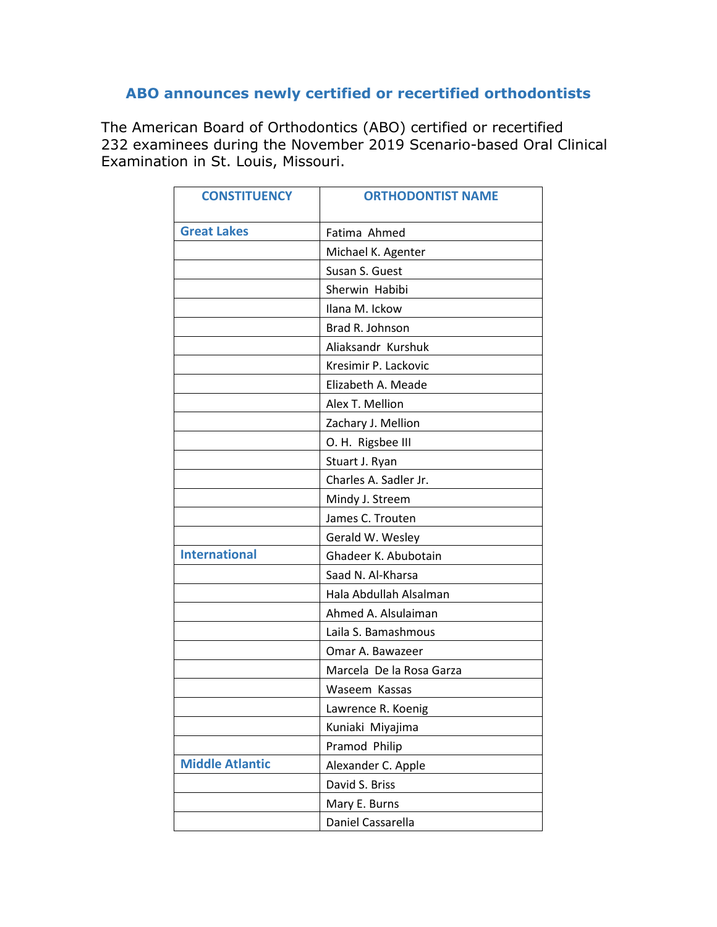## **ABO announces newly certified or recertified orthodontists**

The American Board of Orthodontics (ABO) certified or recertified 232 examinees during the November 2019 Scenario-based Oral Clinical Examination in St. Louis, Missouri.

| <b>CONSTITUENCY</b>    | <b>ORTHODONTIST NAME</b> |
|------------------------|--------------------------|
| <b>Great Lakes</b>     | Fatima Ahmed             |
|                        | Michael K. Agenter       |
|                        | Susan S. Guest           |
|                        | Sherwin Habibi           |
|                        | Ilana M. Ickow           |
|                        | Brad R. Johnson          |
|                        | Aliaksandr Kurshuk       |
|                        | Kresimir P. Lackovic     |
|                        | Elizabeth A. Meade       |
|                        | Alex T. Mellion          |
|                        | Zachary J. Mellion       |
|                        | O. H. Rigsbee III        |
|                        | Stuart J. Ryan           |
|                        | Charles A. Sadler Jr.    |
|                        | Mindy J. Streem          |
|                        | James C. Trouten         |
|                        | Gerald W. Wesley         |
| <b>International</b>   | Ghadeer K. Abubotain     |
|                        | Saad N. Al-Kharsa        |
|                        | Hala Abdullah Alsalman   |
|                        | Ahmed A. Alsulaiman      |
|                        | Laila S. Bamashmous      |
|                        | Omar A. Bawazeer         |
|                        | Marcela De la Rosa Garza |
|                        | Waseem Kassas            |
|                        | Lawrence R. Koenig       |
|                        | Kuniaki Miyajima         |
|                        | Pramod Philip            |
| <b>Middle Atlantic</b> | Alexander C. Apple       |
|                        | David S. Briss           |
|                        | Mary E. Burns            |
|                        | Daniel Cassarella        |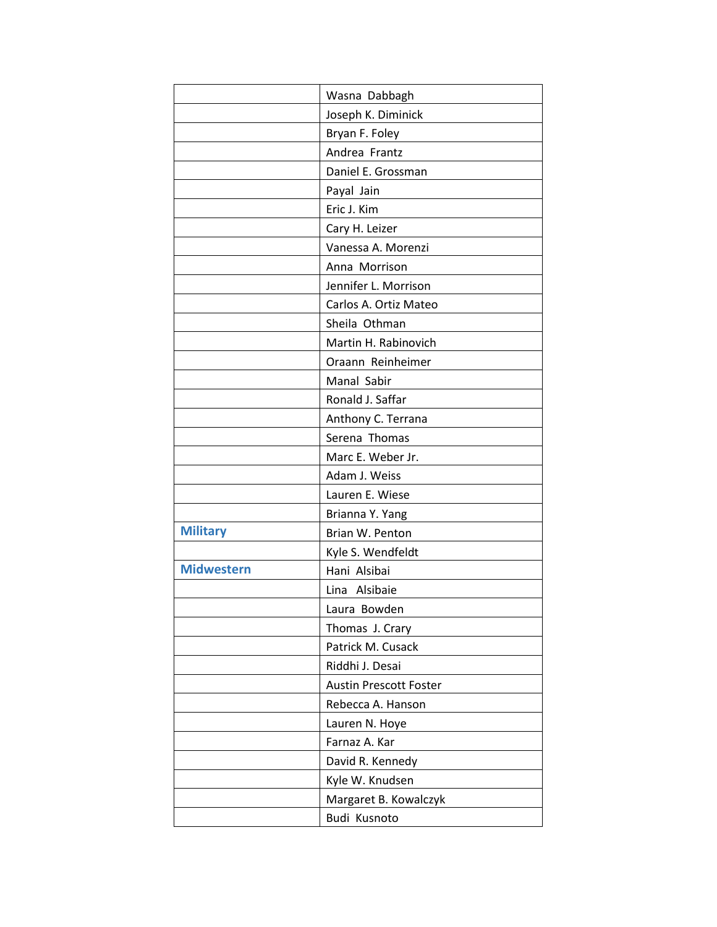|                   | Wasna Dabbagh                 |
|-------------------|-------------------------------|
|                   | Joseph K. Diminick            |
|                   | Bryan F. Foley                |
|                   | Andrea Frantz                 |
|                   | Daniel E. Grossman            |
|                   | Payal Jain                    |
|                   | Eric J. Kim                   |
|                   | Cary H. Leizer                |
|                   | Vanessa A. Morenzi            |
|                   | Anna Morrison                 |
|                   | Jennifer L. Morrison          |
|                   | Carlos A. Ortiz Mateo         |
|                   | Sheila Othman                 |
|                   | Martin H. Rabinovich          |
|                   | Oraann Reinheimer             |
|                   | Manal Sabir                   |
|                   | Ronald J. Saffar              |
|                   | Anthony C. Terrana            |
|                   | Serena Thomas                 |
|                   | Marc E. Weber Jr.             |
|                   | Adam J. Weiss                 |
|                   | Lauren E. Wiese               |
|                   | Brianna Y. Yang               |
| <b>Military</b>   | Brian W. Penton               |
|                   | Kyle S. Wendfeldt             |
| <b>Midwestern</b> | Hani Alsibai                  |
|                   | Lina Alsibaie                 |
|                   | Laura Bowden                  |
|                   | Thomas J. Crary               |
|                   | Patrick M. Cusack             |
|                   | Riddhi J. Desai               |
|                   | <b>Austin Prescott Foster</b> |
|                   | Rebecca A. Hanson             |
|                   | Lauren N. Hoye                |
|                   | Farnaz A. Kar                 |
|                   | David R. Kennedy              |
|                   | Kyle W. Knudsen               |
|                   | Margaret B. Kowalczyk         |
|                   | Budi Kusnoto                  |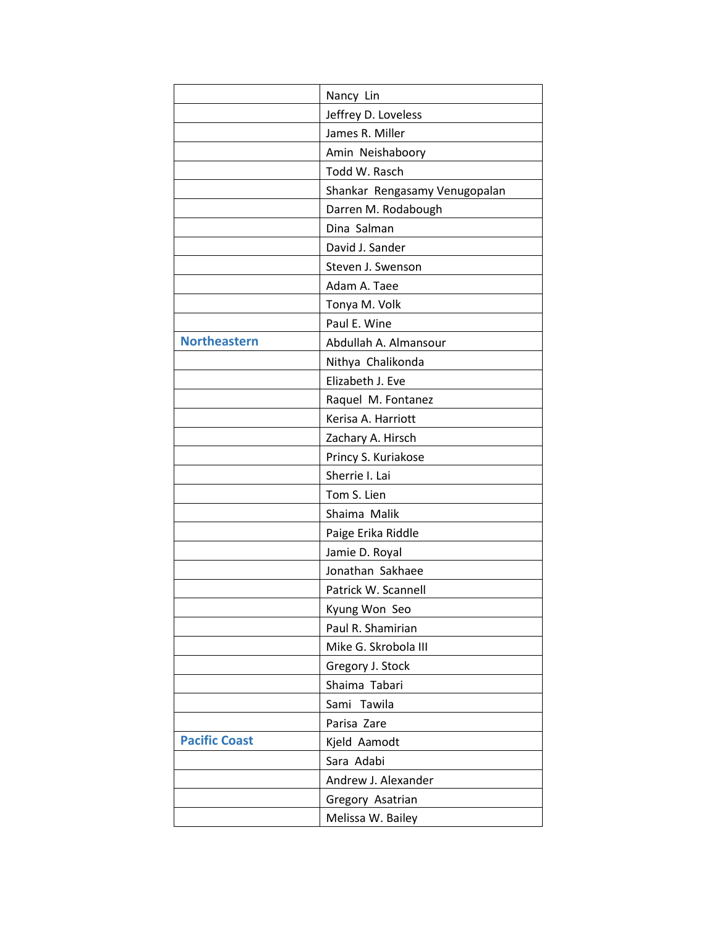|                      | Nancy Lin                     |
|----------------------|-------------------------------|
|                      | Jeffrey D. Loveless           |
|                      | James R. Miller               |
|                      | Amin Neishaboory              |
|                      | Todd W. Rasch                 |
|                      | Shankar Rengasamy Venugopalan |
|                      | Darren M. Rodabough           |
|                      | Dina Salman                   |
|                      | David J. Sander               |
|                      | Steven J. Swenson             |
|                      | Adam A. Taee                  |
|                      | Tonya M. Volk                 |
|                      | Paul E. Wine                  |
| <b>Northeastern</b>  | Abdullah A. Almansour         |
|                      | Nithya Chalikonda             |
|                      | Elizabeth J. Eve              |
|                      | Raquel M. Fontanez            |
|                      | Kerisa A. Harriott            |
|                      | Zachary A. Hirsch             |
|                      | Princy S. Kuriakose           |
|                      | Sherrie I. Lai                |
|                      | Tom S. Lien                   |
|                      | Shaima Malik                  |
|                      | Paige Erika Riddle            |
|                      | Jamie D. Royal                |
|                      | Jonathan Sakhaee              |
|                      | Patrick W. Scannell           |
|                      | Kyung Won Seo                 |
|                      | Paul R. Shamirian             |
|                      | Mike G. Skrobola III          |
|                      | Gregory J. Stock              |
|                      | Shaima Tabari                 |
|                      | Sami Tawila                   |
|                      | Parisa Zare                   |
| <b>Pacific Coast</b> | Kjeld Aamodt                  |
|                      | Sara Adabi                    |
|                      | Andrew J. Alexander           |
|                      | Gregory Asatrian              |
|                      | Melissa W. Bailey             |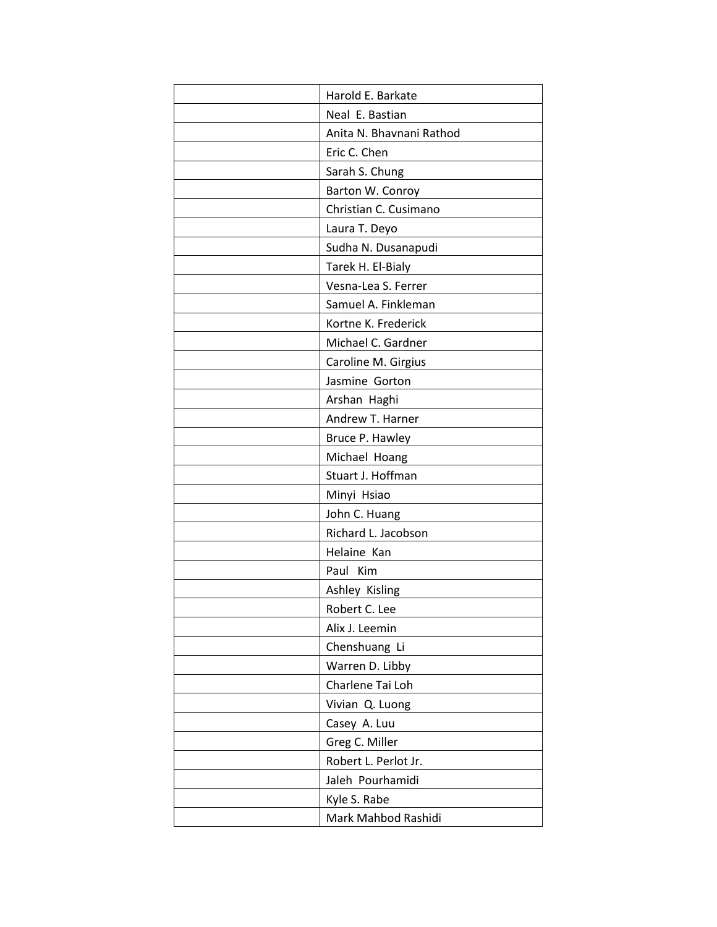| Harold E. Barkate        |
|--------------------------|
| Neal E. Bastian          |
| Anita N. Bhavnani Rathod |
| Eric C. Chen             |
| Sarah S. Chung           |
| Barton W. Conroy         |
| Christian C. Cusimano    |
| Laura T. Deyo            |
| Sudha N. Dusanapudi      |
| Tarek H. El-Bialy        |
| Vesna-Lea S. Ferrer      |
| Samuel A. Finkleman      |
| Kortne K. Frederick      |
| Michael C. Gardner       |
| Caroline M. Girgius      |
| Jasmine Gorton           |
| Arshan Haghi             |
| Andrew T. Harner         |
| Bruce P. Hawley          |
| Michael Hoang            |
| Stuart J. Hoffman        |
| Minyi Hsiao              |
| John C. Huang            |
| Richard L. Jacobson      |
| Helaine Kan              |
| Paul Kim                 |
| Ashley Kisling           |
| Robert C. Lee            |
| Alix J. Leemin           |
| Chenshuang Li            |
| Warren D. Libby          |
| Charlene Tai Loh         |
| Vivian Q. Luong          |
| Casey A. Luu             |
| Greg C. Miller           |
| Robert L. Perlot Jr.     |
| Jaleh Pourhamidi         |
| Kyle S. Rabe             |
| Mark Mahbod Rashidi      |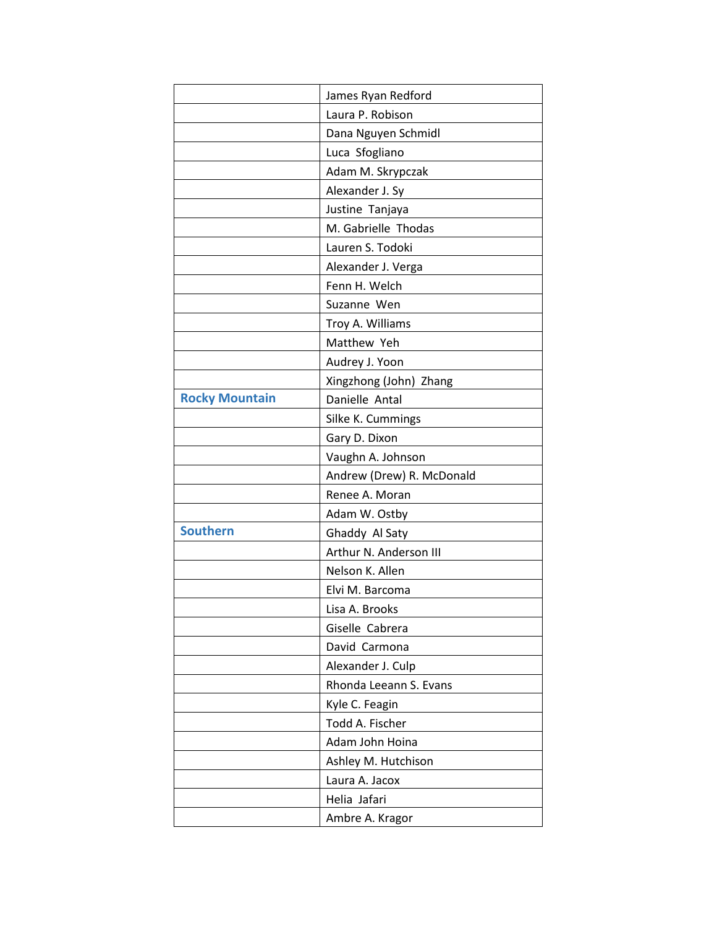|                       | James Ryan Redford        |
|-----------------------|---------------------------|
|                       | Laura P. Robison          |
|                       | Dana Nguyen Schmidl       |
|                       | Luca Sfogliano            |
|                       | Adam M. Skrypczak         |
|                       | Alexander J. Sy           |
|                       | Justine Tanjaya           |
|                       | M. Gabrielle Thodas       |
|                       | Lauren S. Todoki          |
|                       | Alexander J. Verga        |
|                       | Fenn H. Welch             |
|                       | Suzanne Wen               |
|                       | Troy A. Williams          |
|                       | Matthew Yeh               |
|                       | Audrey J. Yoon            |
|                       | Xingzhong (John) Zhang    |
| <b>Rocky Mountain</b> | Danielle Antal            |
|                       | Silke K. Cummings         |
|                       | Gary D. Dixon             |
|                       | Vaughn A. Johnson         |
|                       | Andrew (Drew) R. McDonald |
|                       | Renee A. Moran            |
|                       | Adam W. Ostby             |
| <b>Southern</b>       | Ghaddy Al Saty            |
|                       | Arthur N. Anderson III    |
|                       | Nelson K. Allen           |
|                       | Elvi M. Barcoma           |
|                       | Lisa A. Brooks            |
|                       | Giselle Cabrera           |
|                       | David Carmona             |
|                       | Alexander J. Culp         |
|                       | Rhonda Leeann S. Evans    |
|                       | Kyle C. Feagin            |
|                       | Todd A. Fischer           |
|                       | Adam John Hoina           |
|                       | Ashley M. Hutchison       |
|                       | Laura A. Jacox            |
|                       | Helia Jafari              |
|                       | Ambre A. Kragor           |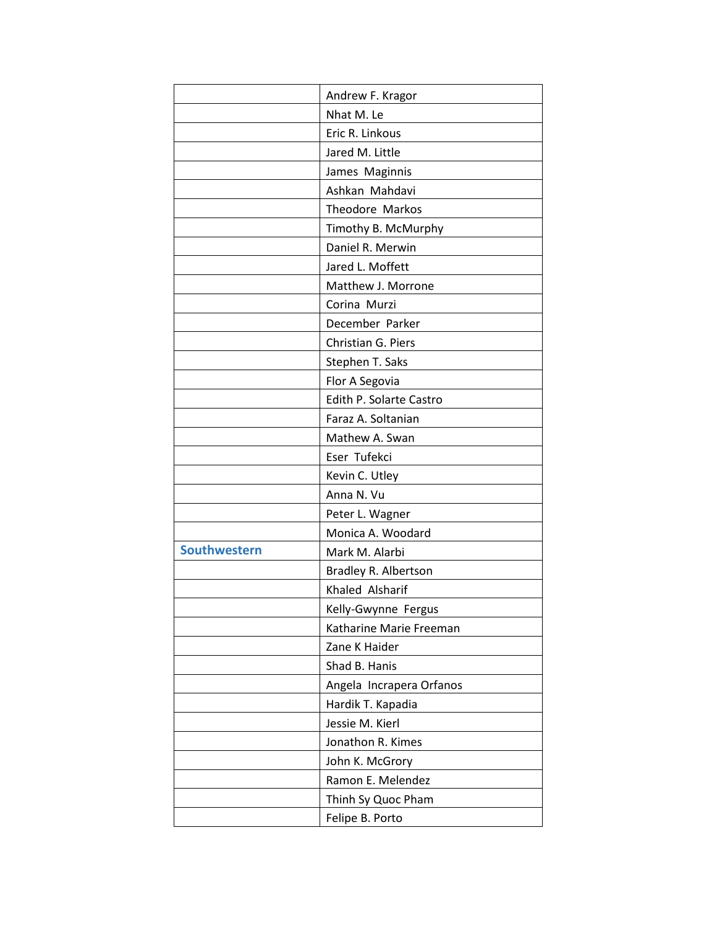|                     | Andrew F. Kragor         |
|---------------------|--------------------------|
|                     | Nhat M. Le               |
|                     | Eric R. Linkous          |
|                     | Jared M. Little          |
|                     | James Maginnis           |
|                     | Ashkan Mahdavi           |
|                     | Theodore Markos          |
|                     | Timothy B. McMurphy      |
|                     | Daniel R. Merwin         |
|                     | Jared L. Moffett         |
|                     | Matthew J. Morrone       |
|                     | Corina Murzi             |
|                     | December Parker          |
|                     | Christian G. Piers       |
|                     | Stephen T. Saks          |
|                     | Flor A Segovia           |
|                     | Edith P. Solarte Castro  |
|                     | Faraz A. Soltanian       |
|                     | Mathew A. Swan           |
|                     | Eser Tufekci             |
|                     | Kevin C. Utley           |
|                     | Anna N. Vu               |
|                     | Peter L. Wagner          |
|                     | Monica A. Woodard        |
| <b>Southwestern</b> | Mark M. Alarbi           |
|                     | Bradley R. Albertson     |
|                     | Khaled Alsharif          |
|                     | Kelly-Gwynne Fergus      |
|                     | Katharine Marie Freeman  |
|                     | Zane K Haider            |
|                     | Shad B. Hanis            |
|                     | Angela Incrapera Orfanos |
|                     | Hardik T. Kapadia        |
|                     | Jessie M. Kierl          |
|                     | Jonathon R. Kimes        |
|                     | John K. McGrory          |
|                     | Ramon E. Melendez        |
|                     | Thinh Sy Quoc Pham       |
|                     | Felipe B. Porto          |